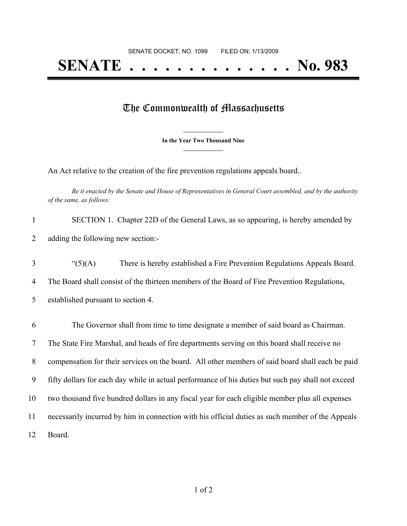## **SENATE . . . . . . . . . . . . . . No. 983**

## The Commonwealth of Massachusetts

**\_\_\_\_\_\_\_\_\_\_\_\_\_\_\_ In the Year Two Thousand Nine \_\_\_\_\_\_\_\_\_\_\_\_\_\_\_**

An Act relative to the creation of the fire prevention regulations appeals board..

Be it enacted by the Senate and House of Representatives in General Court assembled, and by the authority *of the same, as follows:*

| 1  | SECTION 1. Chapter 22D of the General Laws, as so appearing, is hereby amended by                  |
|----|----------------------------------------------------------------------------------------------------|
| 2  | adding the following new section:-                                                                 |
| 3  | " $(5)(A)$<br>There is hereby established a Fire Prevention Regulations Appeals Board.             |
| 4  | The Board shall consist of the thirteen members of the Board of Fire Prevention Regulations,       |
| 5  | established pursuant to section 4.                                                                 |
| 6  | The Governor shall from time to time designate a member of said board as Chairman.                 |
| 7  | The State Fire Marshal, and heads of fire departments serving on this board shall receive no       |
| 8  | compensation for their services on the board. All other members of said board shall each be paid   |
| 9  | fifty dollars for each day while in actual performance of his duties but such pay shall not exceed |
| 10 | two thousand five hundred dollars in any fiscal year for each eligible member plus all expenses    |
| 11 | necessarily incurred by him in connection with his official duties as such member of the Appeals   |
| 12 | Board.                                                                                             |
|    |                                                                                                    |